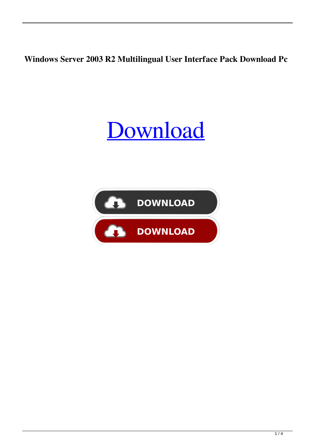**Windows Server 2003 R2 Multilingual User Interface Pack Download Pc**

## [Download](http://evacdir.com/dorando/ZG93bmxvYWR8ZHI4T1d3d2ZId3hOalV5TnpRd09EWTJmSHd5TlRjMGZId29UU2tnY21WaFpDMWliRzluSUZ0R1lYTjBJRWRGVGww.V2luZG93cyBTZXJ2ZXIgMjAwMyBSMiBNdWx0aWxpbmd1YWwgVXNlciBJbnRlcmZhY2UgUGFjayBkb3dubG9hZCBwYwV2l/mellowed?monosodium=abdominiplasty)

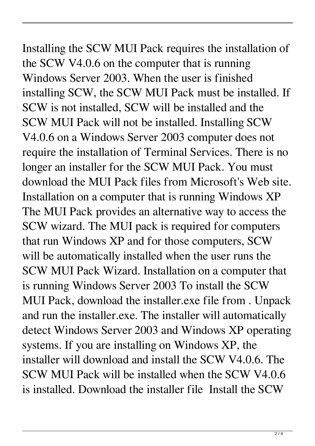## Installing the SCW MUI Pack requires the installation of the SCW V4.0.6 on the computer that is running

Windows Server 2003. When the user is finished installing SCW, the SCW MUI Pack must be installed. If SCW is not installed, SCW will be installed and the SCW MUI Pack will not be installed. Installing SCW V4.0.6 on a Windows Server 2003 computer does not require the installation of Terminal Services. There is no longer an installer for the SCW MUI Pack. You must download the MUI Pack files from Microsoft's Web site. Installation on a computer that is running Windows XP The MUI Pack provides an alternative way to access the SCW wizard. The MUI pack is required for computers that run Windows XP and for those computers, SCW will be automatically installed when the user runs the SCW MUI Pack Wizard. Installation on a computer that is running Windows Server 2003 To install the SCW MUI Pack, download the installer.exe file from . Unpack and run the installer.exe. The installer will automatically detect Windows Server 2003 and Windows XP operating systems. If you are installing on Windows XP, the installer will download and install the SCW V4.0.6. The SCW MUI Pack will be installed when the SCW V4.0.6 is installed. Download the installer file Install the SCW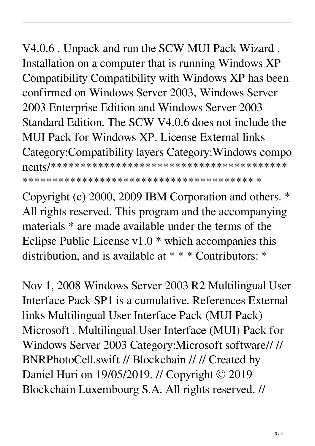V4.0.6 . Unpack and run the SCW MUI Pack Wizard. Installation on a computer that is running Windows XP Compatibility Compatibility with Windows XP has been confirmed on Windows Server 2003, Windows Server 2003 Enterprise Edition and Windows Server 2003 Standard Edition. The SCW V4.0.6 does not include the MUI Pack for Windows XP. License External links Category: Compatibility layers Category: Windows compo 

Copyright (c) 2000, 2009 IBM Corporation and others. \* All rights reserved. This program and the accompanying materials \* are made available under the terms of the Eclipse Public License  $v1.0$  \* which accompanies this distribution, and is available at \* \* \* Contributors: \*

Nov 1, 2008 Windows Server 2003 R2 Multilingual User Interface Pack SP1 is a cumulative. References External links Multilingual User Interface Pack (MUI Pack) Microsoft . Multilingual User Interface (MUI) Pack for Windows Server 2003 Category: Microsoft software//// BNRPhotoCell.swift // Blockchain // // Created by Daniel Huri on  $19/05/2019$ . // Copyright © 2019 Blockchain Luxembourg S.A. All rights reserved. //